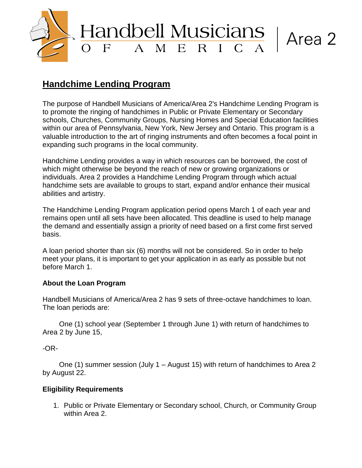

# **Handchime Lending Program**

The purpose of Handbell Musicians of America/Area 2's Handchime Lending Program is to promote the ringing of handchimes in Public or Private Elementary or Secondary schools, Churches, Community Groups, Nursing Homes and Special Education facilities within our area of Pennsylvania, New York, New Jersey and Ontario. This program is a valuable introduction to the art of ringing instruments and often becomes a focal point in expanding such programs in the local community.

Handchime Lending provides a way in which resources can be borrowed, the cost of which might otherwise be beyond the reach of new or growing organizations or individuals. Area 2 provides a Handchime Lending Program through which actual handchime sets are available to groups to start, expand and/or enhance their musical abilities and artistry.

The Handchime Lending Program application period opens March 1 of each year and remains open until all sets have been allocated. This deadline is used to help manage the demand and essentially assign a priority of need based on a first come first served basis.

A loan period shorter than six (6) months will not be considered. So in order to help meet your plans, it is important to get your application in as early as possible but not before March 1.

## **About the Loan Program**

Handbell Musicians of America/Area 2 has 9 sets of three-octave handchimes to loan. The loan periods are:

One (1) school year (September 1 through June 1) with return of handchimes to Area 2 by June 15,

-OR-

One (1) summer session (July 1 – August 15) with return of handchimes to Area 2 by August 22.

## **Eligibility Requirements**

1. Public or Private Elementary or Secondary school, Church, or Community Group within Area 2.